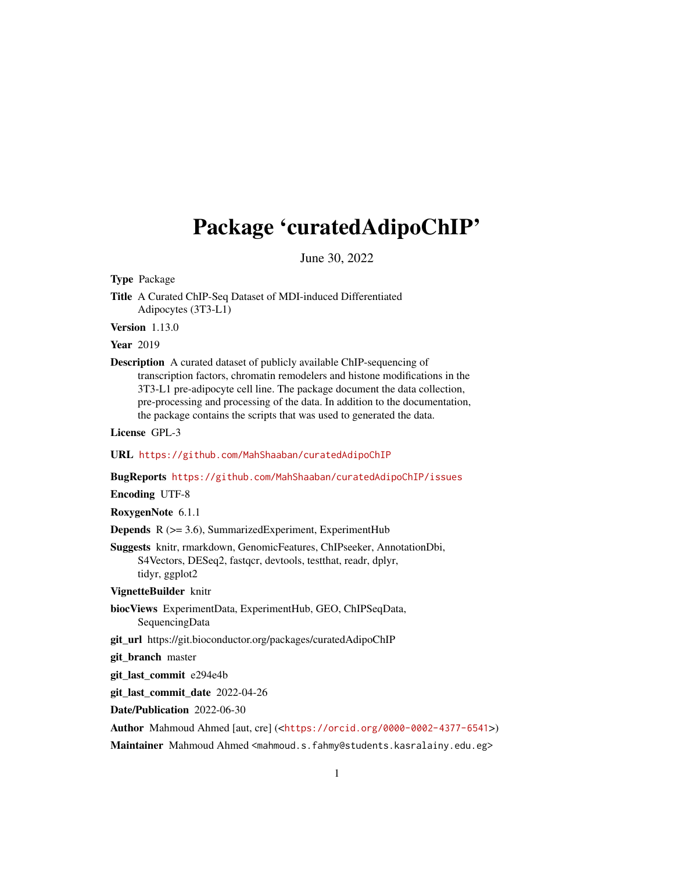## Package 'curatedAdipoChIP'

June 30, 2022

Type Package

Title A Curated ChIP-Seq Dataset of MDI-induced Differentiated Adipocytes (3T3-L1)

Version 1.13.0

**Year** 2019

Description A curated dataset of publicly available ChIP-sequencing of transcription factors, chromatin remodelers and histone modifications in the 3T3-L1 pre-adipocyte cell line. The package document the data collection, pre-processing and processing of the data. In addition to the documentation, the package contains the scripts that was used to generated the data.

License GPL-3

URL <https://github.com/MahShaaban/curatedAdipoChIP>

BugReports <https://github.com/MahShaaban/curatedAdipoChIP/issues>

Encoding UTF-8

RoxygenNote 6.1.1

Depends R (>= 3.6), SummarizedExperiment, ExperimentHub

Suggests knitr, rmarkdown, GenomicFeatures, ChIPseeker, AnnotationDbi, S4Vectors, DESeq2, fastqcr, devtools, testthat, readr, dplyr, tidyr, ggplot2

VignetteBuilder knitr

- biocViews ExperimentData, ExperimentHub, GEO, ChIPSeqData, SequencingData
- git\_url https://git.bioconductor.org/packages/curatedAdipoChIP

git\_branch master

git\_last\_commit e294e4b

git\_last\_commit\_date 2022-04-26

Date/Publication 2022-06-30

Author Mahmoud Ahmed [aut, cre] (<<https://orcid.org/0000-0002-4377-6541>>)

Maintainer Mahmoud Ahmed <mahmoud.s.fahmy@students.kasralainy.edu.eg>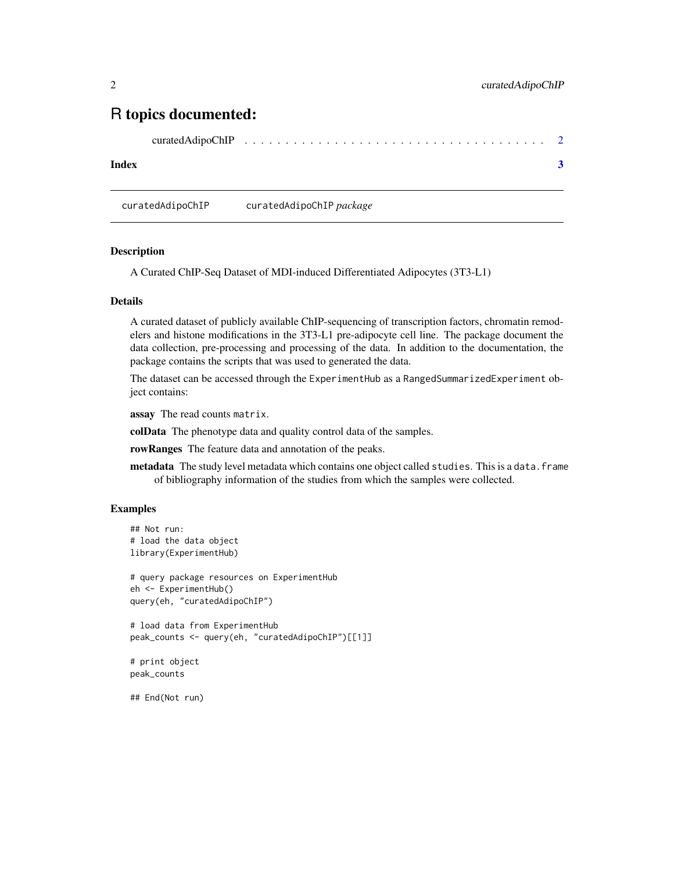### <span id="page-1-0"></span>R topics documented:

| curatedAdipoChIP |  |  |  |  |  |  |  |  |  |  |  |  |  |  |  |  |  |  |  |  |  |  |  |  |  |  |  |  |  |  |  |  |  |  |  |  |  |  |  |
|------------------|--|--|--|--|--|--|--|--|--|--|--|--|--|--|--|--|--|--|--|--|--|--|--|--|--|--|--|--|--|--|--|--|--|--|--|--|--|--|--|
|------------------|--|--|--|--|--|--|--|--|--|--|--|--|--|--|--|--|--|--|--|--|--|--|--|--|--|--|--|--|--|--|--|--|--|--|--|--|--|--|--|

#### **Index** [3](#page-2-0)

curatedAdipoChIP curatedAdipoChIP *package*

#### Description

A Curated ChIP-Seq Dataset of MDI-induced Differentiated Adipocytes (3T3-L1)

#### Details

A curated dataset of publicly available ChIP-sequencing of transcription factors, chromatin remodelers and histone modifications in the 3T3-L1 pre-adipocyte cell line. The package document the data collection, pre-processing and processing of the data. In addition to the documentation, the package contains the scripts that was used to generated the data.

The dataset can be accessed through the ExperimentHub as a RangedSummarizedExperiment object contains:

assay The read counts matrix.

colData The phenotype data and quality control data of the samples.

rowRanges The feature data and annotation of the peaks.

metadata The study level metadata which contains one object called studies. This is a data. frame of bibliography information of the studies from which the samples were collected.

#### Examples

```
## Not run:
# load the data object
library(ExperimentHub)
# query package resources on ExperimentHub
eh <- ExperimentHub()
query(eh, "curatedAdipoChIP")
# load data from ExperimentHub
peak_counts <- query(eh, "curatedAdipoChIP")[[1]]
# print object
peak_counts
```
## End(Not run)